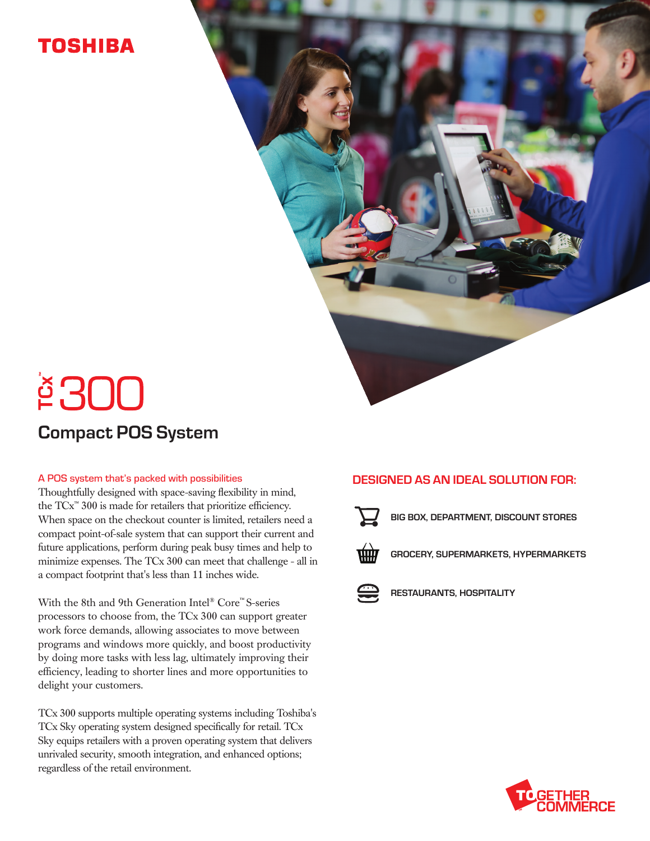## TOSHIBA

# **<u>ě300</u>** Compact POS System

#### A POS system that's packed with possibilities

Thoughtfully designed with space-saving flexibility in mind, the TCx™ 300 is made for retailers that prioritize efficiency. When space on the checkout counter is limited, retailers need a compact point-of-sale system that can support their current and future applications, perform during peak busy times and help to minimize expenses. The TCx 300 can meet that challenge - all in a compact footprint that's less than 11 inches wide.

With the 8th and 9th Generation Intel® Core™ S-series processors to choose from, the TCx 300 can support greater work force demands, allowing associates to move between programs and windows more quickly, and boost productivity by doing more tasks with less lag, ultimately improving their efficiency, leading to shorter lines and more opportunities to delight your customers.

TCx 300 supports multiple operating systems including Toshiba's TCx Sky operating system designed specifically for retail. TCx Sky equips retailers with a proven operating system that delivers unrivaled security, smooth integration, and enhanced options; regardless of the retail environment.

#### DESIGNED AS AN IDEAL SOLUTION FOR:



BIG BOX, DEPARTMENT, DISCOUNT STORES



GROCERY, SUPERMARKETS, HYPERMARKETS



RESTAURANTS, HOSPITALITY